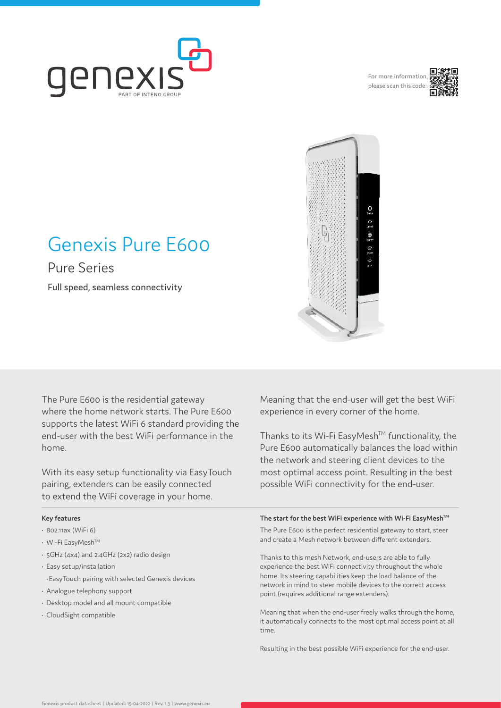

For more information please scan this code:



# Đ

# Genexis Pure E600

Pure Series

Full speed, seamless connectivity

The Pure E600 is the residential gateway where the home network starts. The Pure E600 supports the latest WiFi 6 standard providing the end-user with the best WiFi performance in the home.

With its easy setup functionality via EasyTouch pairing, extenders can be easily connected to extend the WiFi coverage in your home.

### **Key features**

- 802.11ax (WiFi 6)
- Wi-Fi EasyMeshTM
- 5GHz (4x4) and 2.4GHz (2x2) radio design
- Easy setup/installation
- •EasyTouch pairing with selected Genexis devices
- Analogue telephony support
- Desktop model and all mount compatible
- CloudSight compatible

Meaning that the end-user will get the best WiFi experience in every corner of the home.

Thanks to its Wi-Fi EasyMesh™ functionality, the Pure E600 automatically balances the load within the network and steering client devices to the most optimal access point. Resulting in the best possible WiFi connectivity for the end-user.

### The start for the best WiFi experience with Wi-Fi EasyMesh<sup>™</sup>

The Pure E600 is the perfect residential gateway to start, steer and create a Mesh network between different extenders.

Thanks to this mesh Network, end-users are able to fully experience the best WiFi connectivity throughout the whole home. Its steering capabilities keep the load balance of the network in mind to steer mobile devices to the correct access point (requires additional range extenders).

Meaning that when the end-user freely walks through the home, it automatically connects to the most optimal access point at all time.

Resulting in the best possible WiFi experience for the end-user.